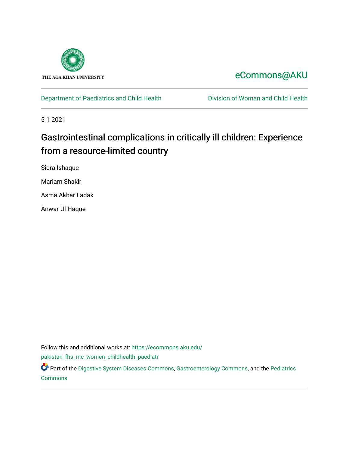

## [eCommons@AKU](https://ecommons.aku.edu/)

[Department of Paediatrics and Child Health](https://ecommons.aku.edu/pakistan_fhs_mc_women_childhealth_paediatr) **Division of Woman and Child Health** 

5-1-2021

# Gastrointestinal complications in critically ill children: Experience from a resource-limited country

Sidra Ishaque

Mariam Shakir

Asma Akbar Ladak

Anwar Ul Haque

Follow this and additional works at: [https://ecommons.aku.edu/](https://ecommons.aku.edu/pakistan_fhs_mc_women_childhealth_paediatr?utm_source=ecommons.aku.edu%2Fpakistan_fhs_mc_women_childhealth_paediatr%2F1044&utm_medium=PDF&utm_campaign=PDFCoverPages)

[pakistan\\_fhs\\_mc\\_women\\_childhealth\\_paediatr](https://ecommons.aku.edu/pakistan_fhs_mc_women_childhealth_paediatr?utm_source=ecommons.aku.edu%2Fpakistan_fhs_mc_women_childhealth_paediatr%2F1044&utm_medium=PDF&utm_campaign=PDFCoverPages) 

Part of the [Digestive System Diseases Commons](http://network.bepress.com/hgg/discipline/986?utm_source=ecommons.aku.edu%2Fpakistan_fhs_mc_women_childhealth_paediatr%2F1044&utm_medium=PDF&utm_campaign=PDFCoverPages), [Gastroenterology Commons,](http://network.bepress.com/hgg/discipline/687?utm_source=ecommons.aku.edu%2Fpakistan_fhs_mc_women_childhealth_paediatr%2F1044&utm_medium=PDF&utm_campaign=PDFCoverPages) and the [Pediatrics](http://network.bepress.com/hgg/discipline/700?utm_source=ecommons.aku.edu%2Fpakistan_fhs_mc_women_childhealth_paediatr%2F1044&utm_medium=PDF&utm_campaign=PDFCoverPages) [Commons](http://network.bepress.com/hgg/discipline/700?utm_source=ecommons.aku.edu%2Fpakistan_fhs_mc_women_childhealth_paediatr%2F1044&utm_medium=PDF&utm_campaign=PDFCoverPages)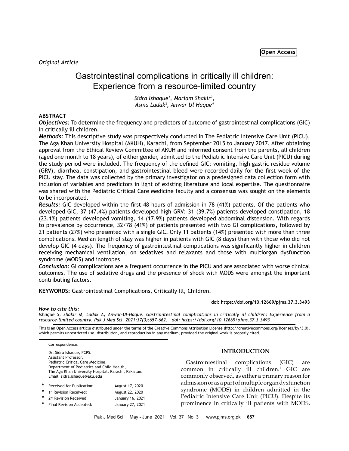*Original Article*

## Gastrointestinal complications in critically ill children: Experience from a resource-limited country

*Sidra Ishaque1 , Mariam Shakir2 , Asma Ladak3 , Anwar Ul Haque4*

## **ABSTRACT**

*Objectives:* To determine the frequency and predictors of outcome of gastrointestinal complications (GIC) in critically ill children.

*Methods:* This descriptive study was prospectively conducted in The Pediatric Intensive Care Unit (PICU), The Aga Khan University Hospital (AKUH), Karachi, from September 2015 to January 2017. After obtaining approval from the Ethical Review Committee of AKUH and informed consent from the parents, all children (aged one month to 18 years), of either gender, admitted to the Pediatric Intensive Care Unit (PICU) during the study period were included. The frequency of the defined GIC: vomiting, high gastric residue volume (GRV), diarrhea, constipation, and gastrointestinal bleed were recorded daily for the first week of the PICU stay. The data was collected by the primary investigator on a predesigned data collection form with inclusion of variables and predictors in light of existing literature and local expertise. The questionnaire was shared with the Pediatric Critical Care Medicine faculty and a consensus was sought on the elements to be incorporated.

*Results:* GIC developed within the first 48 hours of admission in 78 (41%) patients. Of the patients who developed GIC, 37 (47.4%) patients developed high GRV: 31 (39.7%) patients developed constipation, 18 (23.1%) patients developed vomiting, 14 (17.9%) patients developed abdominal distension. With regards to prevalence by occurrence, 32/78 (41%) of patients presented with two GI complications, followed by 21 patients (27%) who presented with a single GIC. Only 11 patients (14%) presented with more than three complications. Median length of stay was higher in patients with GIC (8 days) than with those who did not develop GIC (4 days). The frequency of gastrointestinal complications was significantly higher in children receiving mechanical ventilation, on sedatives and relaxants and those with multiorgan dysfunction syndrome (MODS) and inotropes

*Conclusion:* GI complications are a frequent occurrence in the PICU and are associated with worse clinical outcomes. The use of sedative drugs and the presence of shock with MODS were amongst the important contributing factors.

**KEYWORDS:** Gastrointestinal Complications, Critically Ill, Children.

## *How to cite this:*

*Ishaque S, Shakir M, Ladak A, Anwar-Ul-Haque. Gastrointestinal complications in critically ill children: Experience from a resource-limited country. Pak J Med Sci. 2021;37(3):657-662. doi: https://doi.org/10.12669/pjms.37.3.3493*

This is an Open Access article distributed under the terms of the Creative Commons Attribution License (http://creativecommons.org/licenses/by/3.0), which permits unrestricted use, distribution, and reproduction in any medium, provided the original work is properly cited.

Correspondence:

Dr. Sidra Ishaque, FCPS. Assistant Professor, Pediatric Critical Care Medicine, Department of Pediatrics and Child Health, The Aga Khan University Hospital, Karachi, Pakistan. Email: sidra.ishaque@aku.edu

| $\ast$ | Received for Publication:          | August 17, 2020  |
|--------|------------------------------------|------------------|
| *      | 1st Revision Received:             | August 22, 2020  |
| *      | 2 <sup>nd</sup> Revision Received: | January 16, 2021 |
| *      | Final Revision Accepted:           | January 27, 2021 |

## **INTRODUCTION**

**doi: https://doi.org/10.12669/pjms.37.3.3493**

Gastrointestinal complications (GIC) are common in critically ill children.<sup>1</sup> GIC are commonly observed, as either a primary reason for admission or as a part of multiple organ dysfunction syndrome (MODS) in children admitted in the Pediatric Intensive Care Unit (PICU). Despite its prominence in critically ill patients with MODS,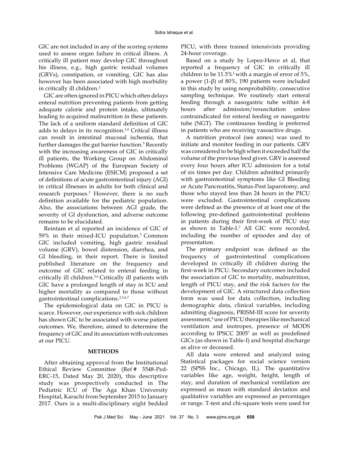GIC are not included in any of the scoring systems used to assess organ failure in critical illness. A critically ill patient may develop GIC throughout his illness, e.g., high gastric residual volumes (GRVs), constipation, or vomiting. GIC has also however has been associated with high morbidity in critically ill children.<sup>2</sup>

GIC are often ignored in PICU which often delays enteral nutrition preventing patients from getting adequate calorie and protein intake, ultimately leading to acquired malnutrition in these patients. The lack of a uniform standard definition of GIC adds to delays in its recognition.3,4 Critical illness can result in intestinal mucosal ischemia, that further damages the gut barrier function.<sup>5</sup> Recently with the increasing awareness of GIC in critically ill patients, the Working Group on Abdominal Problems (WGAP) of the European Society of Intensive Care Medicine (ESICM) proposed a set of definitions of acute gastrointestinal injury (AGI) in critical illnesses in adults for both clinical and research purposes.<sup>2</sup> However, there is no such definition available for the pediatric population. Also, the associations between AGI grade, the severity of GI dysfunction, and adverse outcome remains to be elucidated.

Reintam et al reported an incidence of GIC of 59% in their mixed-ICU population.<sup>5</sup> Common GIC included vomiting, high gastric residual volume (GRV), bowel distension, diarrhea, and GI bleeding, in their report. There is limited published literature on the frequency and outcome of GIC related to enteral feeding in critically ill children.5,6 Critically ill patients with GIC have a prolonged length of stay in ICU and higher mortality as compared to those without gastrointestinal complications.2,5,6,7

The epidemiological data on GIC in PICU is scarce. However, our experience with sick children has shown GIC to be associated with worse patient outcomes. We, therefore, aimed to determine the frequency of GIC and its association with outcomes at our PICU.

## **METHODS**

After obtaining approval from the Institutional Ethical Review Committee (Ref # 3548-Ped-ERC-15, Dated May 20, 2020), this descriptive study was prospectively conducted in The Pediatric ICU of The Aga Khan University Hospital, Karachi from September 2015 to January 2017. Ours is a multi-disciplinary eight bedded PICU, with three trained intensivists providing 24-hour coverage.

Based on a study by Lopez-Herce et al, that reported a frequency of GIC in critically ill children to be 11.5%3 with a margin of error of 5%, a power (1-β) of 80%, 190 patients were included in this study by using nonprobability, consecutive sampling technique. We routinely start enteral feeding through a nasogastric tube within 4-8 hours after admission/resuscitation unless contraindicated for enteral feeding or nasogastric tube (NGT). The continuous feeding is preferred in patients who are receiving vasoactive drugs.

A nutrition protocol (see annex) was used to initiate and monitor feeding in our patients. GRV was considered to be high when it exceeded half the volume of the previous feed given. GRV is assessed every four hours after ICU admission for a total of six times per day. Children admitted primarily with gastrointestinal symptoms like GI Bleeding or Acute Pancreatitis, Status-Post laparotomy, and those who stayed less than 24 hours in the PICU were excluded. Gastrointestinal complications were defined as the presence of at least one of the following pre-defined gastrointestinal problems in patients during their first-week of PICU stay as shown in Table-I.3 All GIC were recorded, including the number of episodes and day of presentation.

The primary endpoint was defined as the frequency of gastrointestinal complications developed in critically ill children during the first-week in PICU. Secondary outcomes included the association of GIC to mortality, malnutrition, length of PICU stay, and the risk factors for the development of GIC. A structured data collection form was used for data collection, including demographic data, clinical variables, including admitting diagnosis, PRISM-III score for severity assessment,<sup>8</sup> use of PICU therapies like mechanical ventilation and inotropes, presence of MODS according to IPSCC 2005<sup>7</sup> as well as predefined GICs (as shown in Table-I) and hospital discharge as alive or deceased.

All data were entered and analyzed using Statistical packages for social science version 22 (SPSS Inc., Chicago, IL). The quantitative variables like age, weight, height, length of stay, and duration of mechanical ventilation are expressed as mean with standard deviation and qualitative variables are expressed as percentages or range. T-test and chi-square tests were used for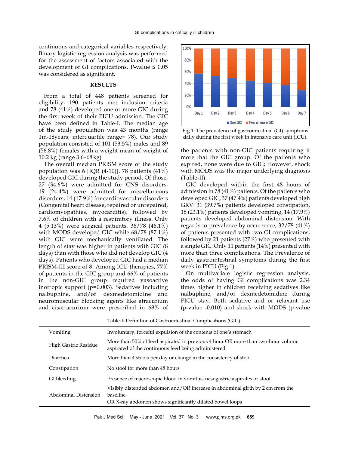continuous and categorical variables respectively. Binary logistic regression analysis was performed for the assessment of factors associated with the development of GI complications. P-value  $\leq 0.05$ was considered as significant.

## **RESULTS**

From a total of 448 patients screened for eligibility, 190 patients met inclusion criteria and 78 (41%) developed one or more GIC during the first week of their PICU admission. The GIC have been defined in Table-I. The median age of the study population was 43 months (range 1m-18years, interquartile range= 78). Our study population consisted of 101 (53.5%) males and 89 (56.8%) females with a weight mean of weight of 10.2 kg (range 3.6–68 kg)

The overall median PRISM score of the study population was 6 [IQR  $(4-10)$ ]. 78 patients  $(41\%)$ developed GIC during the study period. Of those, 27 (34.6%) were admitted for CNS disorders, 19 (24.4%) were admitted for miscellaneous disorders, 14 (17.9%) for cardiovascular disorders (Congenital heart disease, repaired or unrepaired, cardiomyopathies, myocarditis), followed by 7.6% of children with a respiratory illness. Only 4 (5.13%) were surgical patients. 36/78 (46.1%) with MODS developed GIC while 68/78 (87.1%) with GIC were mechanically ventilated. The length of stay was higher in patients with GIC (8 days) than with those who did not develop GIC (4 days). Patients who developed GIC had a median PRISM-III score of 8. Among ICU therapies, 77% of patients in the GIC group and 66% of patients in the non-GIC group required vasoactive inotropic support (p=0.003). Sedatives including nalbuphine, and/or dexmedetomidine and neuromuscular blocking agents like atracurium and cisatracurium were prescribed in 68% of



Fig.1: The prevalence of gastrointestinal (GI) symptoms daily during the first week in intensive care unit (ICU).

the patients with non-GIC patients requiring it more that the GIC group. Of the patients who expired, none were due to GIC; However, shock with MODS was the major underlying diagnosis (Table-II).

GIC developed within the first 48 hours of admission in 78 (41%) patients. Of the patients who developed GIC, 37 (47.4%) patients developed high GRV: 31 (39.7%) patients developed constipation, 18 (23.1%) patients developed vomiting, 14 (17.9%) patients developed abdominal distension. With regards to prevalence by occurrence, 32/78 (41%) of patients presented with two GI complications, followed by 21 patients (27%) who presented with a single GIC. Only 11 patients (14%) presented with more than three complications. The Prevalence of daily gastrointestinal symptoms during the first week in PICU (Fig.1).

On multivariate logistic regression analysis, the odds of having GI complications was 2.34 times higher in children receiving sedatives like nalbuphine, and/or dexmedetomidine during PICU stay. Both sedative and or relaxant use (p-value -0.010) and shock with MODS (p-value

|                      | Table-I: Definition of Gastrointestinal Complications (GIC).                                                                                          |
|----------------------|-------------------------------------------------------------------------------------------------------------------------------------------------------|
| Vomiting             | Involuntary, forceful expulsion of the contents of one's stomach                                                                                      |
| High Gastric Residue | More than 50% of feed aspirated in previous 4 hour OR more than two-hour volume<br>aspirated of the continuous feed being administered                |
| Diarrhea             | More than 4 stools per day or change in the consistency of stool                                                                                      |
| Constipation         | No stool for more than 48 hours                                                                                                                       |
| GI bleeding          | Presence of macroscopic blood in vomitus, nasogastric aspirates or stool                                                                              |
| Abdominal Distension | Visibly distended abdomen and/OR Increase in abdominal girth by 2 cm from the<br>baseline<br>OR X-ray abdomen shows significantly dilated bowel loops |

Table-I: Definition of Gastrointestinal Complications (GIC).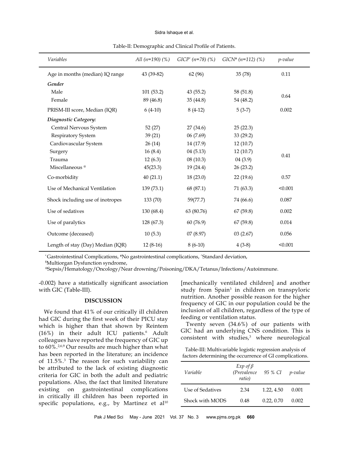#### Sidra Ishaque et al.

| Variables                         | All $(n=190)$ $(\%)$ | $GICP^*(n=78)$ (%) | $GICN^*$ (n=112) (%) | p-value |
|-----------------------------------|----------------------|--------------------|----------------------|---------|
| Age in months (median) IQ range   | 43 (39-82)           | 62 (96)            | 35 (78)              | 0.11    |
| Gender                            |                      |                    |                      |         |
| Male                              | 101(53.2)            | 43(55.2)           | 58 (51.8)            |         |
| Female                            | 89 (46.8)            | 35(44.8)           | 54 (48.2)            | 0.64    |
| PRISM-III score, Median (IQR)     | $6(4-10)$            | $8(4-12)$          | $5(3-7)$             | 0.002   |
| Diagnostic Category:              |                      |                    |                      |         |
| Central Nervous System            | 52(27)               | 27(34.6)           | 25(22.3)             |         |
| Respiratory System                | 39(21)               | 06(7.69)           | 33 (29.2)            |         |
| Cardiovascular System             | 26(14)               | 14 (17.9)          | 12(10.7)             |         |
| Surgery                           | 16(8.4)              | 04(5.13)           | 12(10.7)             | 0.41    |
| Trauma                            | 12(6.3)              | 08(10.3)           | 04(3.9)              |         |
| Miscellaneous <sup>®</sup>        | 45(23.3)             | 19(24.4)           | 26 (23.2)            |         |
| Co-morbidity                      | 40(21.1)             | 18(23.0)           | 22(19.6)             | 0.57    |
| Use of Mechanical Ventilation     | 139 (73.1)           | 68 (87.1)          | 71 (63.3)            | < 0.001 |
| Shock including use of inotropes  | 133 (70)             | 59(77.7)           | 74 (66.6)            | 0.087   |
| Use of sedatives                  | 130 (68.4)           | 63 (80.76)         | 67(59.8)             | 0.002   |
| Use of paralytics                 | 128 (67.3)           | 60(76.9)           | 67(59.8)             | 0.014   |
| Outcome (deceased)                | 10(5.3)              | 07(8.97)           | 03(2.67)             | 0.056   |
| Length of stay (Day) Median (IQR) | $12(8-16)$           | $8(6-10)$          | $4(3-8)$             | < 0.001 |

Table-II: Demographic and Clinical Profile of Patients.

\* Gastrointestinal Complications, #No gastrointestinal complications, ^Standard deviation,

\$ Multiorgan Dysfunction syndrome,

@Sepsis/Hematology/Oncology/Near drowning/Poisoning/DKA/Tetanus/Infections/Autoimmune.

-0.002) have a statistically significant association with GIC (Table-III).

## **DISCUSSION**

We found that 41% of our critically ill children had GIC during the first week of their PICU stay which is higher than that shown by Reintem (16%) in their adult ICU patients.<sup>6</sup> Adult colleagues have reported the frequency of GIC up to 60%.<sup>2,6,9</sup> Our results are much higher than what has been reported in the literature; an incidence of 11.5%.3 The reason for such variability can be attributed to the lack of existing diagnostic criteria for GIC in both the adult and pediatric populations. Also, the fact that limited literature existing on gastrointestinal complications in critically ill children has been reported in specific populations, e.g., by Martinez et  $al^{10}$ 

[mechanically ventilated children] and another study from Spain3 in children on transpyloric nutrition. Another possible reason for the higher frequency of GIC in our population could be the inclusion of all children, regardless of the type of feeding or ventilation status.

Twenty seven (34.6%) of our patients with GIC had an underlying CNS condition. This is consistent with studies,<sup>3</sup> where neurological

Table-III: Multivariable logistic regression analysis of factors determining the occurrence of GI complications.

| Variable         | $Exp$ of $\beta$<br>(Prevalence<br>ratio) | 95 % CI    | <i>p</i> -value |
|------------------|-------------------------------------------|------------|-----------------|
| Use of Sedatives | 2.34                                      | 1.22, 4.50 | 0.001           |
| Shock with MODS  | 0.48                                      | 0.22, 0.70 | 0.002           |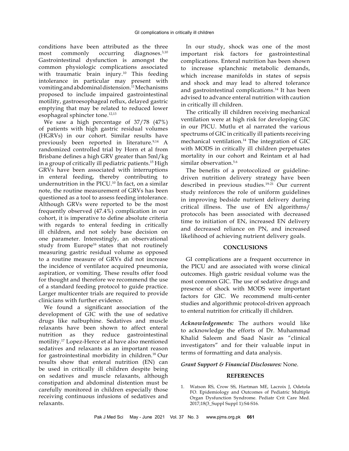conditions have been attributed as the three most commonly occurring diagnoses.3,10 Gastrointestinal dysfunction is amongst the common physiologic complications associated with traumatic brain injury.<sup>10</sup> This feeding intolerance in particular may present with vomiting and abdominal distension.11 Mechanisms proposed to include impaired gastrointestinal motility, gastroesophageal reflux, delayed gastric emptying that may be related to reduced lower esophageal sphincter tone.<sup>12,13</sup>

We saw a high percentage of 37/78 (47%) of patients with high gastric residual volumes (HGRVs) in our cohort. Similar results have previously been reported in literature.<sup>9,14</sup> A randomized controlled trial by Horn et al from Brisbane defines a high GRV greater than 5ml/kg in a group of critically ill pediatric patients.15 High GRVs have been associated with interruptions in enteral feeding, thereby contributing to undernutrition in the PICU.10 In fact, on a similar note, the routine measurement of GRVs has been questioned as a tool to assess feeding intolerance. Although GRVs were reported to be the most frequently observed (47.4%) complication in our cohort, it is imperative to define absolute criteria with regards to enteral feeding in critically ill children, and not solely base decision on one parameter. Interestingly, an observational study from Europe<sup>16</sup> states that not routinely measuring gastric residual volume as opposed to a routine measure of GRVs did not increase the incidence of ventilator acquired pneumonia, aspiration, or vomiting. These results offer food for thought and therefore we recommend the use of a standard feeding protocol to guide practice. Larger multicenter trials are required to provide clinicians with further evidence.

We found a significant association of the development of GIC with the use of sedative drugs like nalbuphine. Sedatives and muscle relaxants have been shown to affect enteral nutrition as they reduce gastrointestinal motility.17 Lopez-Herce et al have also mentioned sedatives and relaxants as an important reason for gastrointestinal morbidity in children.18 Our results show that enteral nutrition (EN) can be used in critically ill children despite being on sedatives and muscle relaxants, although constipation and abdominal distention must be carefully monitored in children especially those receiving continuous infusions of sedatives and relaxants.

In our study, shock was one of the most important risk factors for gastrointestinal complications. Enteral nutrition has been shown to increase splanchnic metabolic demands, which increase manifolds in states of sepsis and shock and may lead to altered tolerance and gastrointestinal complications.<sup>14</sup> It has been advised to advance enteral nutrition with caution in critically ill children.

The critically ill children receiving mechanical ventilation were at high risk for developing GIC in our PICU. Mutlu et al narrated the various spectrums of GIC in critically ill patients receiving mechanical ventilation.14 The integration of GIC with MODS in critically ill children perpetuates mortality in our cohort and Reintam et al had similar observation.<sup>5.6</sup>

The benefits of a protocolized or guidelinedriven nutrition delivery strategy have been described in previous studies.<sup>19-21</sup> Our current study reinforces the role of uniform guidelines in improving bedside nutrient delivery during critical illness. The use of EN algorithms/ protocols has been associated with decreased time to initiation of EN, increased EN delivery and decreased reliance on PN, and increased likelihood of achieving nutrient delivery goals.

## **CONCLUSIONS**

GI complications are a frequent occurrence in the PICU and are associated with worse clinical outcomes. High gastric residual volume was the most common GIC. The use of sedative drugs and presence of shock with MODS were important factors for GIC. We recommend multi-center studies and algorithmic protocol-driven approach to enteral nutrition for critically ill children.

*Acknowledgements:* The authors would like to acknowledge the efforts of Dr. Muhammad Khalid Saleem and Saad Nasir as "clinical investigators" and for their valuable input in terms of formatting and data analysis.

## *Grant Support & Financial Disclosures:* None.

## **REFERENCES**

1. Watson RS, Crow SS, Hartman ME, Lacroix J, Odetola FO. Epidemiology and Outcomes of Pediatric Multiple Organ Dysfunction Syndrome. Pediatr Crit Care Med. 2017;18(3\_Suppl Suppl 1):S4-S16.